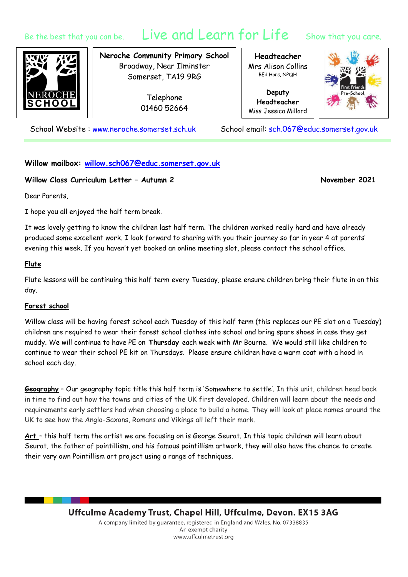# Be the best that you can be. Live and Learn for Life Show that you care.

**Neroche Community Primary School** Broadway, Near Ilminster Somerset, TA19 9RG

> Telephone 01460 52664

**Headteacher** Mrs Alison Collins BEd Hons, NPQH

**Deputy Headteacher** Miss Jessica Millard



School Website: [www.neroche.somerset.sch.uk](http://www.neroche.somerset.sch.uk/) School email: [sch.067@educ.somerset.gov.uk](mailto:sch.067@educ.somerset.gov.uk)

# **Willow mailbox: [willow.sch067@educ.somerset.gov.uk](mailto:willow.sch067@educ.somerset.gov.uk)**

## **Willow Class Curriculum Letter – Autumn 2 November 2021**

Dear Parents,

I hope you all enjoyed the half term break.

It was lovely getting to know the children last half term. The children worked really hard and have already produced some excellent work. I look forward to sharing with you their journey so far in year 4 at parents' evening this week. If you haven't yet booked an online meeting slot, please contact the school office.

## **Flute**

Flute lessons will be continuing this half term every Tuesday, please ensure children bring their flute in on this day.

#### **Forest school**

Willow class will be having forest school each Tuesday of this half term (this replaces our PE slot on a Tuesday) children are required to wear their forest school clothes into school and bring spare shoes in case they get muddy. We will continue to have PE on **Thursday** each week with Mr Bourne. We would still like children to continue to wear their school PE kit on Thursdays. Please ensure children have a warm coat with a hood in school each day.

**Geography** – Our geography topic title this half term is 'Somewhere to settle'. In this unit, children head back in time to find out how the towns and cities of the UK first developed. Children will learn about the needs and requirements early settlers had when choosing a place to build a home. They will look at place names around the UK to see how the Anglo-Saxons, Romans and Vikings all left their mark.

**Art** – this half term the artist we are focusing on is George Seurat. In this topic children will learn about Seurat, the father of pointillism, and his famous pointillism artwork, they will also have the chance to create their very own Pointillism art project using a range of techniques.

> Uffculme Academy Trust, Chapel Hill, Uffculme, Devon. EX15 3AG A company limited by guarantee, registered in England and Wales. No. 07338835 An exempt charity www.uffculmetrust.org